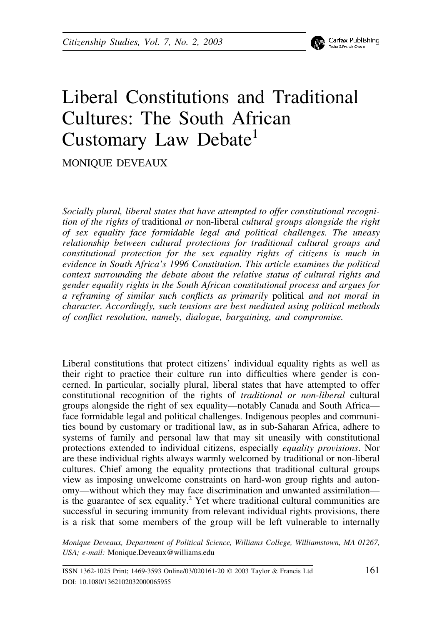

# Liberal Constitutions and Traditional Cultures: The South African Customary Law Debate<sup>1</sup>

MONIQUE DEVEAUX

*Socially plural, liberal states that have attempted to offer constitutional recognition of the rights of* traditional *or* non-liberal *cultural groups alongside the right of sex equality face formidable legal and political challenges. The uneasy relationship between cultural protections for traditional cultural groups and constitutional protection for the sex equality rights of citizens is much in evidence in South Africa's 1996 Constitution. This article examines the political context surrounding the debate about the relative status of cultural rights and gender equality rights in the South African constitutional process and argues for a reframing of similar such conflicts as primarily* political *and not moral in character. Accordingly, such tensions are best mediated using political methods of conflict resolution, namely, dialogue, bargaining, and compromise.*

Liberal constitutions that protect citizens' individual equality rights as well as their right to practice their culture run into difficulties where gender is concerned. In particular, socially plural, liberal states that have attempted to offer constitutional recognition of the rights of *traditional or non-liberal* cultural groups alongside the right of sex equality—notably Canada and South Africa face formidable legal and political challenges. Indigenous peoples and communities bound by customary or traditional law, as in sub-Saharan Africa, adhere to systems of family and personal law that may sit uneasily with constitutional protections extended to individual citizens, especially *equality provisions*. Nor are these individual rights always warmly welcomed by traditional or non-liberal cultures. Chief among the equality protections that traditional cultural groups view as imposing unwelcome constraints on hard-won group rights and autonomy—without which they may face discrimination and unwanted assimilation is the guarantee of sex equality.<sup>2</sup> Yet where traditional cultural communities are successful in securing immunity from relevant individual rights provisions, there is a risk that some members of the group will be left vulnerable to internally

*Monique Deveaux, Department of Political Science, Williams College, Williamstown, MA 01267, USA; e-mail:* Monique.Deveaux@williams.edu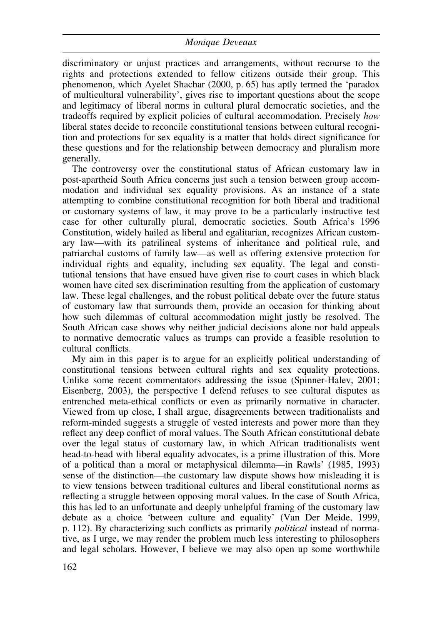discriminatory or unjust practices and arrangements, without recourse to the rights and protections extended to fellow citizens outside their group. This phenomenon, which Ayelet Shachar (2000, p. 65) has aptly termed the 'paradox of multicultural vulnerability', gives rise to important questions about the scope and legitimacy of liberal norms in cultural plural democratic societies, and the tradeoffs required by explicit policies of cultural accommodation. Precisely *how* liberal states decide to reconcile constitutional tensions between cultural recognition and protections for sex equality is a matter that holds direct significance for these questions and for the relationship between democracy and pluralism more generally.

The controversy over the constitutional status of African customary law in post-apartheid South Africa concerns just such a tension between group accommodation and individual sex equality provisions. As an instance of a state attempting to combine constitutional recognition for both liberal and traditional or customary systems of law, it may prove to be a particularly instructive test case for other culturally plural, democratic societies. South Africa's 1996 Constitution, widely hailed as liberal and egalitarian, recognizes African customary law—with its patrilineal systems of inheritance and political rule, and patriarchal customs of family law—as well as offering extensive protection for individual rights and equality, including sex equality. The legal and constitutional tensions that have ensued have given rise to court cases in which black women have cited sex discrimination resulting from the application of customary law. These legal challenges, and the robust political debate over the future status of customary law that surrounds them, provide an occasion for thinking about how such dilemmas of cultural accommodation might justly be resolved. The South African case shows why neither judicial decisions alone nor bald appeals to normative democratic values as trumps can provide a feasible resolution to cultural conflicts.

My aim in this paper is to argue for an explicitly political understanding of constitutional tensions between cultural rights and sex equality protections. Unlike some recent commentators addressing the issue (Spinner-Halev, 2001; Eisenberg, 2003), the perspective I defend refuses to see cultural disputes as entrenched meta-ethical conflicts or even as primarily normative in character. Viewed from up close, I shall argue, disagreements between traditionalists and reform-minded suggests a struggle of vested interests and power more than they reflect any deep conflict of moral values. The South African constitutional debate over the legal status of customary law, in which African traditionalists went head-to-head with liberal equality advocates, is a prime illustration of this. More of a political than a moral or metaphysical dilemma—in Rawls' (1985, 1993) sense of the distinction—the customary law dispute shows how misleading it is to view tensions between traditional cultures and liberal constitutional norms as reflecting a struggle between opposing moral values. In the case of South Africa, this has led to an unfortunate and deeply unhelpful framing of the customary law debate as a choice 'between culture and equality' (Van Der Meide, 1999, p. 112). By characterizing such conflicts as primarily *political* instead of normative, as I urge, we may render the problem much less interesting to philosophers and legal scholars. However, I believe we may also open up some worthwhile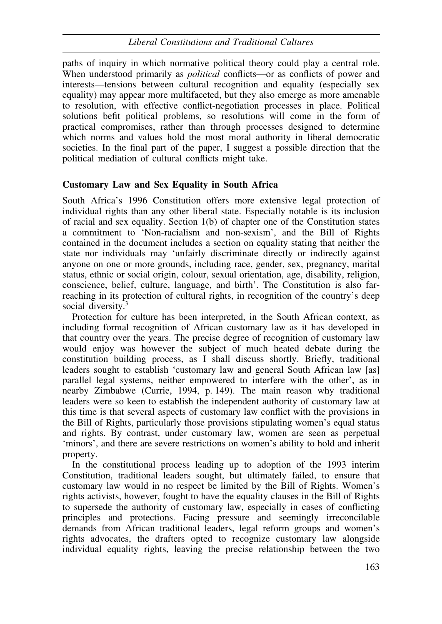paths of inquiry in which normative political theory could play a central role. When understood primarily as *political* conflicts—or as conflicts of power and interests—tensions between cultural recognition and equality (especially sex equality) may appear more multifaceted, but they also emerge as more amenable to resolution, with effective conflict-negotiation processes in place. Political solutions befit political problems, so resolutions will come in the form of practical compromises, rather than through processes designed to determine which norms and values hold the most moral authority in liberal democratic societies. In the final part of the paper, I suggest a possible direction that the political mediation of cultural conflicts might take.

# **Customary Law and Sex Equality in South Africa**

South Africa's 1996 Constitution offers more extensive legal protection of individual rights than any other liberal state. Especially notable is its inclusion of racial and sex equality. Section 1(b) of chapter one of the Constitution states a commitment to 'Non-racialism and non-sexism', and the Bill of Rights contained in the document includes a section on equality stating that neither the state nor individuals may 'unfairly discriminate directly or indirectly against anyone on one or more grounds, including race, gender, sex, pregnancy, marital status, ethnic or social origin, colour, sexual orientation, age, disability, religion, conscience, belief, culture, language, and birth'. The Constitution is also farreaching in its protection of cultural rights, in recognition of the country's deep social diversity.<sup>3</sup>

Protection for culture has been interpreted, in the South African context, as including formal recognition of African customary law as it has developed in that country over the years. The precise degree of recognition of customary law would enjoy was however the subject of much heated debate during the constitution building process, as I shall discuss shortly. Briefly, traditional leaders sought to establish 'customary law and general South African law [as] parallel legal systems, neither empowered to interfere with the other', as in nearby Zimbabwe (Currie, 1994, p. 149). The main reason why traditional leaders were so keen to establish the independent authority of customary law at this time is that several aspects of customary law conflict with the provisions in the Bill of Rights, particularly those provisions stipulating women's equal status and rights. By contrast, under customary law, women are seen as perpetual 'minors', and there are severe restrictions on women's ability to hold and inherit property.

In the constitutional process leading up to adoption of the 1993 interim Constitution, traditional leaders sought, but ultimately failed, to ensure that customary law would in no respect be limited by the Bill of Rights. Women's rights activists, however, fought to have the equality clauses in the Bill of Rights to supersede the authority of customary law, especially in cases of conflicting principles and protections. Facing pressure and seemingly irreconcilable demands from African traditional leaders, legal reform groups and women's rights advocates, the drafters opted to recognize customary law alongside individual equality rights, leaving the precise relationship between the two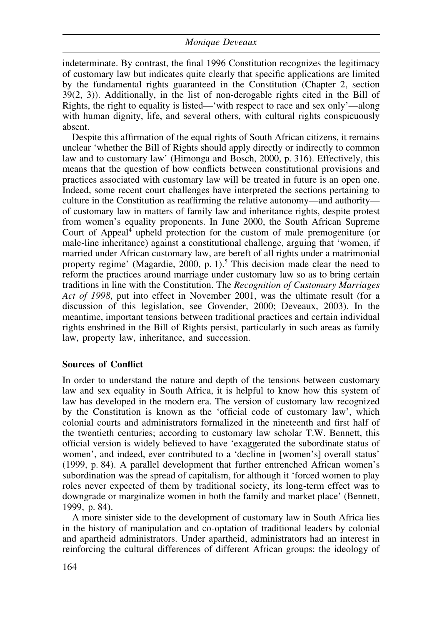indeterminate. By contrast, the final 1996 Constitution recognizes the legitimacy of customary law but indicates quite clearly that specific applications are limited by the fundamental rights guaranteed in the Constitution (Chapter 2, section 39(2, 3)). Additionally, in the list of non-derogable rights cited in the Bill of Rights, the right to equality is listed—'with respect to race and sex only'—along with human dignity, life, and several others, with cultural rights conspicuously absent.

Despite this affirmation of the equal rights of South African citizens, it remains unclear 'whether the Bill of Rights should apply directly or indirectly to common law and to customary law' (Himonga and Bosch, 2000, p. 316). Effectively, this means that the question of how conflicts between constitutional provisions and practices associated with customary law will be treated in future is an open one. Indeed, some recent court challenges have interpreted the sections pertaining to culture in the Constitution as reaffirming the relative autonomy—and authority of customary law in matters of family law and inheritance rights, despite protest from women's equality proponents. In June 2000, the South African Supreme Court of Appeal<sup>4</sup> upheld protection for the custom of male premogeniture (or male-line inheritance) against a constitutional challenge, arguing that 'women, if married under African customary law, are bereft of all rights under a matrimonial property regime' (Magardie, 2000, p. 1).<sup>5</sup> This decision made clear the need to reform the practices around marriage under customary law so as to bring certain traditions in line with the Constitution. The *Recognition of Customary Marriages Act of 1998*, put into effect in November 2001, was the ultimate result (for a discussion of this legislation, see Govender, 2000; Deveaux, 2003). In the meantime, important tensions between traditional practices and certain individual rights enshrined in the Bill of Rights persist, particularly in such areas as family law, property law, inheritance, and succession.

## **Sources of Conflict**

In order to understand the nature and depth of the tensions between customary law and sex equality in South Africa, it is helpful to know how this system of law has developed in the modern era. The version of customary law recognized by the Constitution is known as the 'official code of customary law', which colonial courts and administrators formalized in the nineteenth and first half of the twentieth centuries; according to customary law scholar T.W. Bennett, this official version is widely believed to have 'exaggerated the subordinate status of women', and indeed, ever contributed to a 'decline in [women's] overall status' (1999, p. 84). A parallel development that further entrenched African women's subordination was the spread of capitalism, for although it 'forced women to play roles never expected of them by traditional society, its long-term effect was to downgrade or marginalize women in both the family and market place' (Bennett, 1999, p. 84).

A more sinister side to the development of customary law in South Africa lies in the history of manipulation and co-optation of traditional leaders by colonial and apartheid administrators. Under apartheid, administrators had an interest in reinforcing the cultural differences of different African groups: the ideology of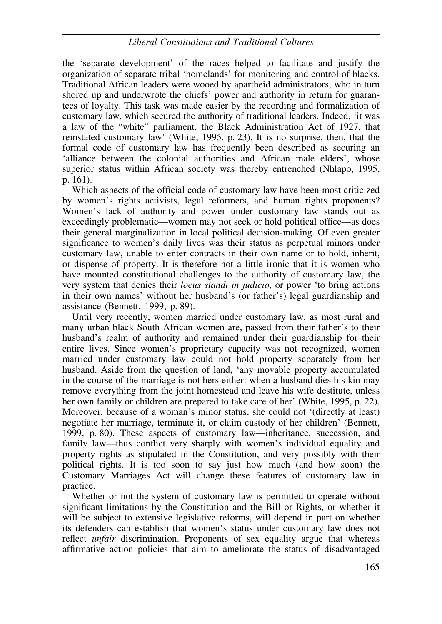the 'separate development' of the races helped to facilitate and justify the organization of separate tribal 'homelands' for monitoring and control of blacks. Traditional African leaders were wooed by apartheid administrators, who in turn shored up and underwrote the chiefs' power and authority in return for guarantees of loyalty. This task was made easier by the recording and formalization of customary law, which secured the authority of traditional leaders. Indeed, 'it was a law of the "white" parliament, the Black Administration Act of 1927, that reinstated customary law' (White, 1995, p. 23). It is no surprise, then, that the formal code of customary law has frequently been described as securing an 'alliance between the colonial authorities and African male elders', whose superior status within African society was thereby entrenched (Nhlapo, 1995, p. 161).

Which aspects of the official code of customary law have been most criticized by women's rights activists, legal reformers, and human rights proponents? Women's lack of authority and power under customary law stands out as exceedingly problematic—women may not seek or hold political office—as does their general marginalization in local political decision-making. Of even greater significance to women's daily lives was their status as perpetual minors under customary law, unable to enter contracts in their own name or to hold, inherit, or dispense of property. It is therefore not a little ironic that it is women who have mounted constitutional challenges to the authority of customary law, the very system that denies their *locus standi in judicio*, or power 'to bring actions in their own names' without her husband's (or father's) legal guardianship and assistance (Bennett, 1999, p. 89).

Until very recently, women married under customary law, as most rural and many urban black South African women are, passed from their father's to their husband's realm of authority and remained under their guardianship for their entire lives. Since women's proprietary capacity was not recognized, women married under customary law could not hold property separately from her husband. Aside from the question of land, 'any movable property accumulated in the course of the marriage is not hers either: when a husband dies his kin may remove everything from the joint homestead and leave his wife destitute, unless her own family or children are prepared to take care of her' (White, 1995, p. 22). Moreover, because of a woman's minor status, she could not '(directly at least) negotiate her marriage, terminate it, or claim custody of her children' (Bennett, 1999, p. 80). These aspects of customary law—inheritance, succession, and family law—thus conflict very sharply with women's individual equality and property rights as stipulated in the Constitution, and very possibly with their political rights. It is too soon to say just how much (and how soon) the Customary Marriages Act will change these features of customary law in practice.

Whether or not the system of customary law is permitted to operate without significant limitations by the Constitution and the Bill or Rights, or whether it will be subject to extensive legislative reforms, will depend in part on whether its defenders can establish that women's status under customary law does not reflect *unfair* discrimination. Proponents of sex equality argue that whereas affirmative action policies that aim to ameliorate the status of disadvantaged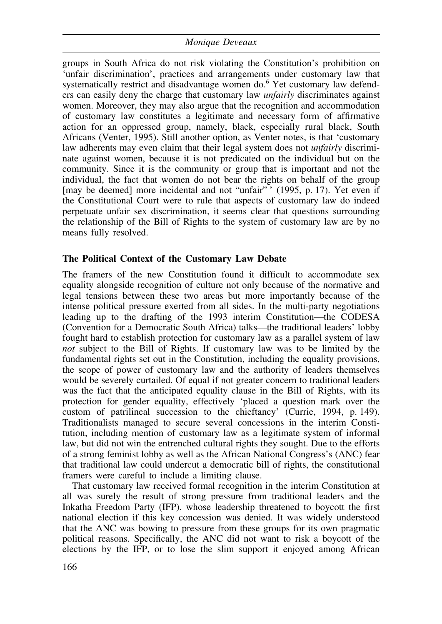groups in South Africa do not risk violating the Constitution's prohibition on 'unfair discrimination', practices and arrangements under customary law that systematically restrict and disadvantage women do.<sup>6</sup> Yet customary law defenders can easily deny the charge that customary law *unfairly* discriminates against women. Moreover, they may also argue that the recognition and accommodation of customary law constitutes a legitimate and necessary form of affirmative action for an oppressed group, namely, black, especially rural black, South Africans (Venter, 1995). Still another option, as Venter notes, is that 'customary law adherents may even claim that their legal system does not *unfairly* discriminate against women, because it is not predicated on the individual but on the community. Since it is the community or group that is important and not the individual, the fact that women do not bear the rights on behalf of the group [may be deemed] more incidental and not "unfair" (1995, p. 17). Yet even if the Constitutional Court were to rule that aspects of customary law do indeed perpetuate unfair sex discrimination, it seems clear that questions surrounding the relationship of the Bill of Rights to the system of customary law are by no means fully resolved.

# **The Political Context of the Customary Law Debate**

The framers of the new Constitution found it difficult to accommodate sex equality alongside recognition of culture not only because of the normative and legal tensions between these two areas but more importantly because of the intense political pressure exerted from all sides. In the multi-party negotiations leading up to the drafting of the 1993 interim Constitution—the CODESA (Convention for a Democratic South Africa) talks—the traditional leaders' lobby fought hard to establish protection for customary law as a parallel system of law *not* subject to the Bill of Rights. If customary law was to be limited by the fundamental rights set out in the Constitution, including the equality provisions, the scope of power of customary law and the authority of leaders themselves would be severely curtailed. Of equal if not greater concern to traditional leaders was the fact that the anticipated equality clause in the Bill of Rights, with its protection for gender equality, effectively 'placed a question mark over the custom of patrilineal succession to the chieftancy' (Currie, 1994, p. 149). Traditionalists managed to secure several concessions in the interim Constitution, including mention of customary law as a legitimate system of informal law, but did not win the entrenched cultural rights they sought. Due to the efforts of a strong feminist lobby as well as the African National Congress's (ANC) fear that traditional law could undercut a democratic bill of rights, the constitutional framers were careful to include a limiting clause.

That customary law received formal recognition in the interim Constitution at all was surely the result of strong pressure from traditional leaders and the Inkatha Freedom Party (IFP), whose leadership threatened to boycott the first national election if this key concession was denied. It was widely understood that the ANC was bowing to pressure from these groups for its own pragmatic political reasons. Specifically, the ANC did not want to risk a boycott of the elections by the IFP, or to lose the slim support it enjoyed among African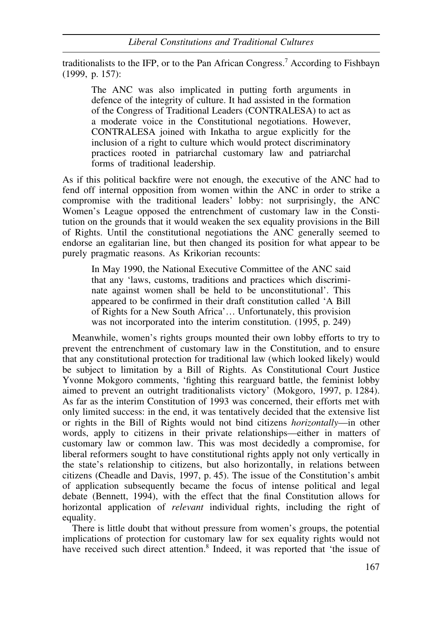traditionalists to the IFP, or to the Pan African Congress.<sup>7</sup> According to Fishbayn (1999, p. 157):

The ANC was also implicated in putting forth arguments in defence of the integrity of culture. It had assisted in the formation of the Congress of Traditional Leaders (CONTRALESA) to act as a moderate voice in the Constitutional negotiations. However, CONTRALESA joined with Inkatha to argue explicitly for the inclusion of a right to culture which would protect discriminatory practices rooted in patriarchal customary law and patriarchal forms of traditional leadership.

As if this political backfire were not enough, the executive of the ANC had to fend off internal opposition from women within the ANC in order to strike a compromise with the traditional leaders' lobby: not surprisingly, the ANC Women's League opposed the entrenchment of customary law in the Constitution on the grounds that it would weaken the sex equality provisions in the Bill of Rights. Until the constitutional negotiations the ANC generally seemed to endorse an egalitarian line, but then changed its position for what appear to be purely pragmatic reasons. As Krikorian recounts:

In May 1990, the National Executive Committee of the ANC said that any 'laws, customs, traditions and practices which discriminate against women shall be held to be unconstitutional'. This appeared to be confirmed in their draft constitution called 'A Bill of Rights for a New South Africa'… Unfortunately, this provision was not incorporated into the interim constitution. (1995, p. 249)

Meanwhile, women's rights groups mounted their own lobby efforts to try to prevent the entrenchment of customary law in the Constitution, and to ensure that any constitutional protection for traditional law (which looked likely) would be subject to limitation by a Bill of Rights. As Constitutional Court Justice Yvonne Mokgoro comments, 'fighting this rearguard battle, the feminist lobby aimed to prevent an outright traditionalists victory' (Mokgoro, 1997, p. 1284). As far as the interim Constitution of 1993 was concerned, their efforts met with only limited success: in the end, it was tentatively decided that the extensive list or rights in the Bill of Rights would not bind citizens *horizontally*—in other words, apply to citizens in their private relationships—either in matters of customary law or common law. This was most decidedly a compromise, for liberal reformers sought to have constitutional rights apply not only vertically in the state's relationship to citizens, but also horizontally, in relations between citizens (Cheadle and Davis, 1997, p. 45). The issue of the Constitution's ambit of application subsequently became the focus of intense political and legal debate (Bennett, 1994), with the effect that the final Constitution allows for horizontal application of *relevant* individual rights, including the right of equality.

There is little doubt that without pressure from women's groups, the potential implications of protection for customary law for sex equality rights would not have received such direct attention.<sup>8</sup> Indeed, it was reported that 'the issue of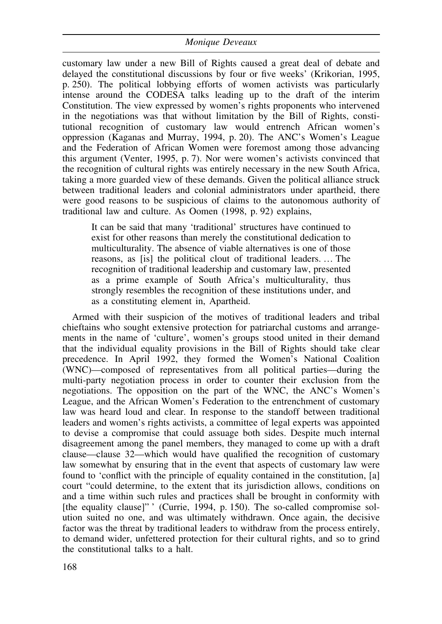customary law under a new Bill of Rights caused a great deal of debate and delayed the constitutional discussions by four or five weeks' (Krikorian, 1995, p. 250). The political lobbying efforts of women activists was particularly intense around the CODESA talks leading up to the draft of the interim Constitution. The view expressed by women's rights proponents who intervened in the negotiations was that without limitation by the Bill of Rights, constitutional recognition of customary law would entrench African women's oppression (Kaganas and Murray, 1994, p. 20). The ANC's Women's League and the Federation of African Women were foremost among those advancing this argument (Venter, 1995, p. 7). Nor were women's activists convinced that the recognition of cultural rights was entirely necessary in the new South Africa, taking a more guarded view of these demands. Given the political alliance struck between traditional leaders and colonial administrators under apartheid, there were good reasons to be suspicious of claims to the autonomous authority of traditional law and culture. As Oomen (1998, p. 92) explains,

It can be said that many 'traditional' structures have continued to exist for other reasons than merely the constitutional dedication to multiculturality. The absence of viable alternatives is one of those reasons, as [is] the political clout of traditional leaders. … The recognition of traditional leadership and customary law, presented as a prime example of South Africa's multiculturality, thus strongly resembles the recognition of these institutions under, and as a constituting element in, Apartheid.

Armed with their suspicion of the motives of traditional leaders and tribal chieftains who sought extensive protection for patriarchal customs and arrangements in the name of 'culture', women's groups stood united in their demand that the individual equality provisions in the Bill of Rights should take clear precedence. In April 1992, they formed the Women's National Coalition (WNC)—composed of representatives from all political parties—during the multi-party negotiation process in order to counter their exclusion from the negotiations. The opposition on the part of the WNC, the ANC's Women's League, and the African Women's Federation to the entrenchment of customary law was heard loud and clear. In response to the standoff between traditional leaders and women's rights activists, a committee of legal experts was appointed to devise a compromise that could assuage both sides. Despite much internal disagreement among the panel members, they managed to come up with a draft clause—clause 32—which would have qualified the recognition of customary law somewhat by ensuring that in the event that aspects of customary law were found to 'conflict with the principle of equality contained in the constitution, [a] court "could determine, to the extent that its jurisdiction allows, conditions on and a time within such rules and practices shall be brought in conformity with [the equality clause]" ' (Currie, 1994, p. 150). The so-called compromise solution suited no one, and was ultimately withdrawn. Once again, the decisive factor was the threat by traditional leaders to withdraw from the process entirely, to demand wider, unfettered protection for their cultural rights, and so to grind the constitutional talks to a halt.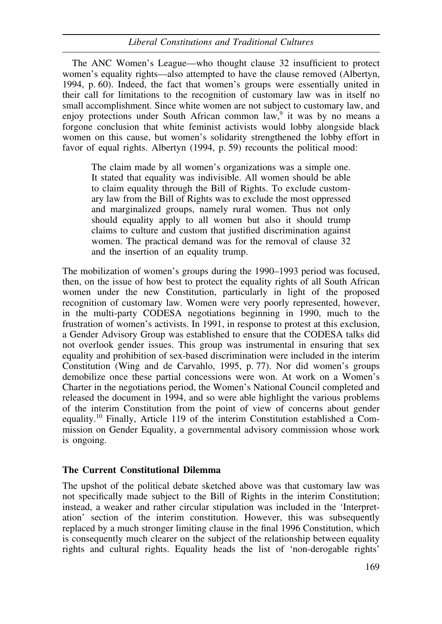The ANC Women's League—who thought clause 32 insufficient to protect women's equality rights—also attempted to have the clause removed (Albertyn, 1994, p. 60). Indeed, the fact that women's groups were essentially united in their call for limitations to the recognition of customary law was in itself no small accomplishment. Since white women are not subject to customary law, and enjoy protections under South African common law,<sup>9</sup> it was by no means a forgone conclusion that white feminist activists would lobby alongside black women on this cause, but women's solidarity strengthened the lobby effort in favor of equal rights. Albertyn (1994, p. 59) recounts the political mood:

The claim made by all women's organizations was a simple one. It stated that equality was indivisible. All women should be able to claim equality through the Bill of Rights. To exclude customary law from the Bill of Rights was to exclude the most oppressed and marginalized groups, namely rural women. Thus not only should equality apply to all women but also it should trump claims to culture and custom that justified discrimination against women. The practical demand was for the removal of clause 32 and the insertion of an equality trump.

The mobilization of women's groups during the 1990–1993 period was focused, then, on the issue of how best to protect the equality rights of all South African women under the new Constitution, particularly in light of the proposed recognition of customary law. Women were very poorly represented, however, in the multi-party CODESA negotiations beginning in 1990, much to the frustration of women's activists. In 1991, in response to protest at this exclusion, a Gender Advisory Group was established to ensure that the CODESA talks did not overlook gender issues. This group was instrumental in ensuring that sex equality and prohibition of sex-based discrimination were included in the interim Constitution (Wing and de Carvahlo, 1995, p. 77). Nor did women's groups demobilize once these partial concessions were won. At work on a Women's Charter in the negotiations period, the Women's National Council completed and released the document in 1994, and so were able highlight the various problems of the interim Constitution from the point of view of concerns about gender equality.<sup>10</sup> Finally, Article 119 of the interim Constitution established a Commission on Gender Equality, a governmental advisory commission whose work is ongoing.

# **The Current Constitutional Dilemma**

The upshot of the political debate sketched above was that customary law was not specifically made subject to the Bill of Rights in the interim Constitution; instead, a weaker and rather circular stipulation was included in the 'Interpretation' section of the interim constitution. However, this was subsequently replaced by a much stronger limiting clause in the final 1996 Constitution, which is consequently much clearer on the subject of the relationship between equality rights and cultural rights. Equality heads the list of 'non-derogable rights'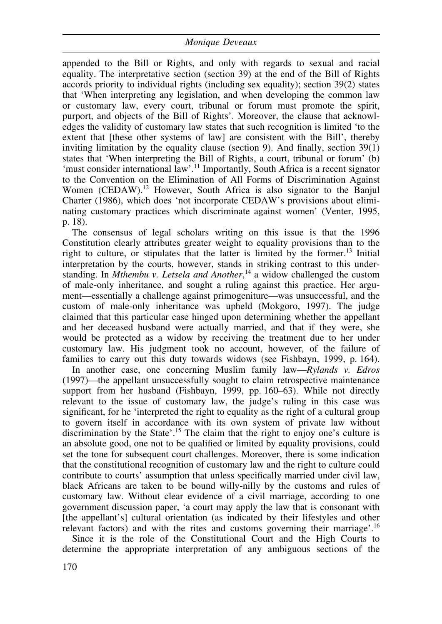appended to the Bill or Rights, and only with regards to sexual and racial equality. The interpretative section (section 39) at the end of the Bill of Rights accords priority to individual rights (including sex equality); section 39(2) states that 'When interpreting any legislation, and when developing the common law or customary law, every court, tribunal or forum must promote the spirit, purport, and objects of the Bill of Rights'. Moreover, the clause that acknowledges the validity of customary law states that such recognition is limited 'to the extent that [these other systems of law] are consistent with the Bill', thereby inviting limitation by the equality clause (section 9). And finally, section 39(1) states that 'When interpreting the Bill of Rights, a court, tribunal or forum' (b) 'must consider international law'.<sup>11</sup> Importantly, South Africa is a recent signator to the Convention on the Elimination of All Forms of Discrimination Against Women (CEDAW).<sup>12</sup> However, South Africa is also signator to the Banjul Charter (1986), which does 'not incorporate CEDAW's provisions about eliminating customary practices which discriminate against women' (Venter, 1995, p. 18).

The consensus of legal scholars writing on this issue is that the 1996 Constitution clearly attributes greater weight to equality provisions than to the right to culture, or stipulates that the latter is limited by the former.<sup>13</sup> Initial interpretation by the courts, however, stands in striking contrast to this understanding. In *Mthembu v. Letsela and Another*, <sup>14</sup> a widow challenged the custom of male-only inheritance, and sought a ruling against this practice. Her argument—essentially a challenge against primogeniture—was unsuccessful, and the custom of male-only inheritance was upheld (Mokgoro, 1997). The judge claimed that this particular case hinged upon determining whether the appellant and her deceased husband were actually married, and that if they were, she would be protected as a widow by receiving the treatment due to her under customary law. His judgment took no account, however, of the failure of families to carry out this duty towards widows (see Fishbayn, 1999, p. 164).

In another case, one concerning Muslim family law—*Rylands v. Edros* (1997)—the appellant unsuccessfully sought to claim retrospective maintenance support from her husband (Fishbayn, 1999, pp. 160–63). While not directly relevant to the issue of customary law, the judge's ruling in this case was significant, for he 'interpreted the right to equality as the right of a cultural group to govern itself in accordance with its own system of private law without discrimination by the State'.<sup>15</sup> The claim that the right to enjoy one's culture is an absolute good, one not to be qualified or limited by equality provisions, could set the tone for subsequent court challenges. Moreover, there is some indication that the constitutional recognition of customary law and the right to culture could contribute to courts' assumption that unless specifically married under civil law, black Africans are taken to be bound willy-nilly by the customs and rules of customary law. Without clear evidence of a civil marriage, according to one government discussion paper, 'a court may apply the law that is consonant with [the appellant's] cultural orientation (as indicated by their lifestyles and other relevant factors) and with the rites and customs governing their marriage'.16

Since it is the role of the Constitutional Court and the High Courts to determine the appropriate interpretation of any ambiguous sections of the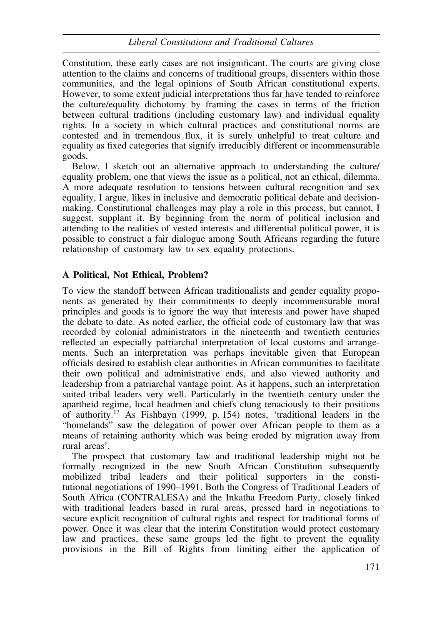Constitution, these early cases are not insignificant. The courts are giving close attention to the claims and concerns of traditional groups, dissenters within those communities, and the legal opinions of South African constitutional experts. However, to some extent judicial interpretations thus far have tended to reinforce the culture/equality dichotomy by framing the cases in terms of the friction between cultural traditions (including customary law) and individual equality rights. In a society in which cultural practices and constitutional norms are contested and in tremendous flux, it is surely unhelpful to treat culture and equality as fixed categories that signify irreducibly different or incommensurable goods.

Below, I sketch out an alternative approach to understanding the culture/ equality problem, one that views the issue as a political, not an ethical, dilemma. A more adequate resolution to tensions between cultural recognition and sex equality, I argue, likes in inclusive and democratic political debate and decisionmaking. Constitutional challenges may play a role in this process, but cannot, I suggest, supplant it. By beginning from the norm of political inclusion and attending to the realities of vested interests and differential political power, it is possible to construct a fair dialogue among South Africans regarding the future relationship of customary law to sex equality protections.

# **A Political, Not Ethical, Problem?**

To view the standoff between African traditionalists and gender equality proponents as generated by their commitments to deeply incommensurable moral principles and goods is to ignore the way that interests and power have shaped the debate to date. As noted earlier, the official code of customary law that was recorded by colonial administrators in the nineteenth and twentieth centuries reflected an especially patriarchal interpretation of local customs and arrangements. Such an interpretation was perhaps inevitable given that European officials desired to establish clear authorities in African communities to facilitate their own political and administrative ends, and also viewed authority and leadership from a patriarchal vantage point. As it happens, such an interpretation suited tribal leaders very well. Particularly in the twentieth century under the apartheid regime, local headmen and chiefs clung tenaciously to their positions of authority.17 As Fishbayn (1999, p. 154) notes, 'traditional leaders in the "homelands" saw the delegation of power over African people to them as a means of retaining authority which was being eroded by migration away from rural areas'.

The prospect that customary law and traditional leadership might not be formally recognized in the new South African Constitution subsequently mobilized tribal leaders and their political supporters in the constitutional negotiations of 1990–1991. Both the Congress of Traditional Leaders of South Africa (CONTRALESA) and the Inkatha Freedom Party, closely linked with traditional leaders based in rural areas, pressed hard in negotiations to secure explicit recognition of cultural rights and respect for traditional forms of power. Once it was clear that the interim Constitution would protect customary law and practices, these same groups led the fight to prevent the equality provisions in the Bill of Rights from limiting either the application of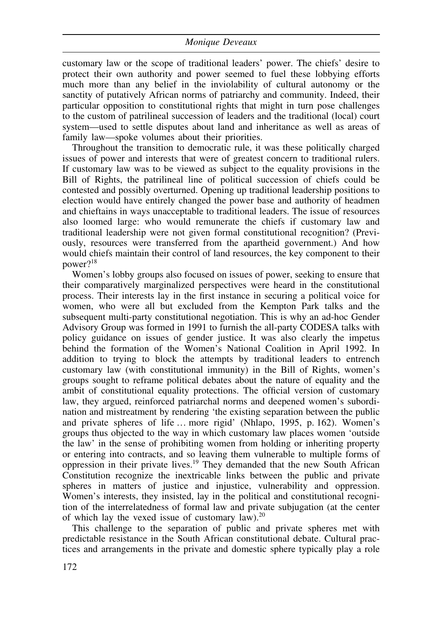customary law or the scope of traditional leaders' power. The chiefs' desire to protect their own authority and power seemed to fuel these lobbying efforts much more than any belief in the inviolability of cultural autonomy or the sanctity of putatively African norms of patriarchy and community. Indeed, their particular opposition to constitutional rights that might in turn pose challenges to the custom of patrilineal succession of leaders and the traditional (local) court system—used to settle disputes about land and inheritance as well as areas of family law—spoke volumes about their priorities.

Throughout the transition to democratic rule, it was these politically charged issues of power and interests that were of greatest concern to traditional rulers. If customary law was to be viewed as subject to the equality provisions in the Bill of Rights, the patrilineal line of political succession of chiefs could be contested and possibly overturned. Opening up traditional leadership positions to election would have entirely changed the power base and authority of headmen and chieftains in ways unacceptable to traditional leaders. The issue of resources also loomed large: who would remunerate the chiefs if customary law and traditional leadership were not given formal constitutional recognition? (Previously, resources were transferred from the apartheid government.) And how would chiefs maintain their control of land resources, the key component to their power?18

Women's lobby groups also focused on issues of power, seeking to ensure that their comparatively marginalized perspectives were heard in the constitutional process. Their interests lay in the first instance in securing a political voice for women, who were all but excluded from the Kempton Park talks and the subsequent multi-party constitutional negotiation. This is why an ad-hoc Gender Advisory Group was formed in 1991 to furnish the all-party CODESA talks with policy guidance on issues of gender justice. It was also clearly the impetus behind the formation of the Women's National Coalition in April 1992. In addition to trying to block the attempts by traditional leaders to entrench customary law (with constitutional immunity) in the Bill of Rights, women's groups sought to reframe political debates about the nature of equality and the ambit of constitutional equality protections. The official version of customary law, they argued, reinforced patriarchal norms and deepened women's subordination and mistreatment by rendering 'the existing separation between the public and private spheres of life … more rigid' (Nhlapo, 1995, p. 162). Women's groups thus objected to the way in which customary law places women 'outside the law' in the sense of prohibiting women from holding or inheriting property or entering into contracts, and so leaving them vulnerable to multiple forms of oppression in their private lives.19 They demanded that the new South African Constitution recognize the inextricable links between the public and private spheres in matters of justice and injustice, vulnerability and oppression. Women's interests, they insisted, lay in the political and constitutional recognition of the interrelatedness of formal law and private subjugation (at the center of which lay the vexed issue of customary law). $20$ 

This challenge to the separation of public and private spheres met with predictable resistance in the South African constitutional debate. Cultural practices and arrangements in the private and domestic sphere typically play a role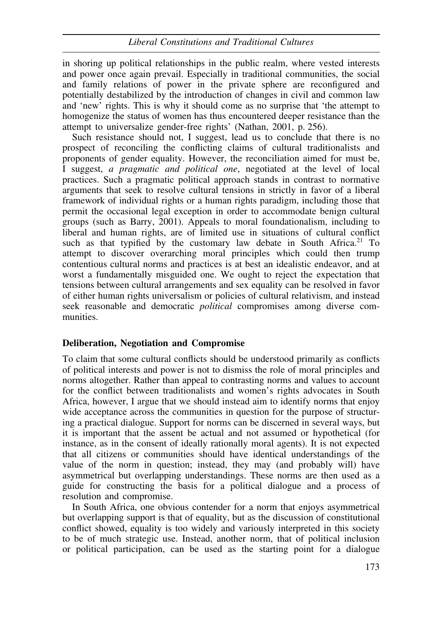in shoring up political relationships in the public realm, where vested interests and power once again prevail. Especially in traditional communities, the social and family relations of power in the private sphere are reconfigured and potentially destabilized by the introduction of changes in civil and common law and 'new' rights. This is why it should come as no surprise that 'the attempt to homogenize the status of women has thus encountered deeper resistance than the attempt to universalize gender-free rights' (Nathan, 2001, p. 256).

Such resistance should not, I suggest, lead us to conclude that there is no prospect of reconciling the conflicting claims of cultural traditionalists and proponents of gender equality. However, the reconciliation aimed for must be, I suggest, *a pragmatic and political one*, negotiated at the level of local practices. Such a pragmatic political approach stands in contrast to normative arguments that seek to resolve cultural tensions in strictly in favor of a liberal framework of individual rights or a human rights paradigm, including those that permit the occasional legal exception in order to accommodate benign cultural groups (such as Barry, 2001). Appeals to moral foundationalism, including to liberal and human rights, are of limited use in situations of cultural conflict such as that typified by the customary law debate in South Africa.<sup>21</sup> To attempt to discover overarching moral principles which could then trump contentious cultural norms and practices is at best an idealistic endeavor, and at worst a fundamentally misguided one. We ought to reject the expectation that tensions between cultural arrangements and sex equality can be resolved in favor of either human rights universalism or policies of cultural relativism, and instead seek reasonable and democratic *political* compromises among diverse communities.

# **Deliberation, Negotiation and Compromise**

To claim that some cultural conflicts should be understood primarily as conflicts of political interests and power is not to dismiss the role of moral principles and norms altogether. Rather than appeal to contrasting norms and values to account for the conflict between traditionalists and women's rights advocates in South Africa, however, I argue that we should instead aim to identify norms that enjoy wide acceptance across the communities in question for the purpose of structuring a practical dialogue. Support for norms can be discerned in several ways, but it is important that the assent be actual and not assumed or hypothetical (for instance, as in the consent of ideally rationally moral agents). It is not expected that all citizens or communities should have identical understandings of the value of the norm in question; instead, they may (and probably will) have asymmetrical but overlapping understandings. These norms are then used as a guide for constructing the basis for a political dialogue and a process of resolution and compromise.

In South Africa, one obvious contender for a norm that enjoys asymmetrical but overlapping support is that of equality, but as the discussion of constitutional conflict showed, equality is too widely and variously interpreted in this society to be of much strategic use. Instead, another norm, that of political inclusion or political participation, can be used as the starting point for a dialogue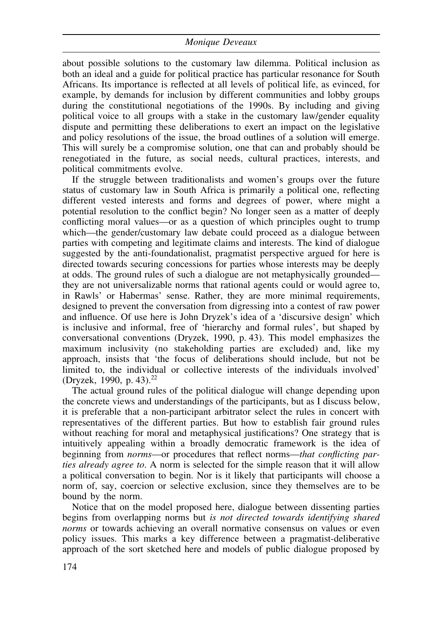about possible solutions to the customary law dilemma. Political inclusion as both an ideal and a guide for political practice has particular resonance for South Africans. Its importance is reflected at all levels of political life, as evinced, for example, by demands for inclusion by different communities and lobby groups during the constitutional negotiations of the 1990s. By including and giving political voice to all groups with a stake in the customary law/gender equality dispute and permitting these deliberations to exert an impact on the legislative and policy resolutions of the issue, the broad outlines of a solution will emerge. This will surely be a compromise solution, one that can and probably should be renegotiated in the future, as social needs, cultural practices, interests, and political commitments evolve.

If the struggle between traditionalists and women's groups over the future status of customary law in South Africa is primarily a political one, reflecting different vested interests and forms and degrees of power, where might a potential resolution to the conflict begin? No longer seen as a matter of deeply conflicting moral values—or as a question of which principles ought to trump which—the gender/customary law debate could proceed as a dialogue between parties with competing and legitimate claims and interests. The kind of dialogue suggested by the anti-foundationalist, pragmatist perspective argued for here is directed towards securing concessions for parties whose interests may be deeply at odds. The ground rules of such a dialogue are not metaphysically grounded they are not universalizable norms that rational agents could or would agree to, in Rawls' or Habermas' sense. Rather, they are more minimal requirements, designed to prevent the conversation from digressing into a contest of raw power and influence. Of use here is John Dryzek's idea of a 'discursive design' which is inclusive and informal, free of 'hierarchy and formal rules', but shaped by conversational conventions (Dryzek, 1990, p. 43). This model emphasizes the maximum inclusivity (no stakeholding parties are excluded) and, like my approach, insists that 'the focus of deliberations should include, but not be limited to, the individual or collective interests of the individuals involved' (Dryzek, 1990, p. 43).<sup>22</sup>

The actual ground rules of the political dialogue will change depending upon the concrete views and understandings of the participants, but as I discuss below, it is preferable that a non-participant arbitrator select the rules in concert with representatives of the different parties. But how to establish fair ground rules without reaching for moral and metaphysical justifications? One strategy that is intuitively appealing within a broadly democratic framework is the idea of beginning from *norms*—or procedures that reflect norms—*that conflicting parties already agree to*. A norm is selected for the simple reason that it will allow a political conversation to begin. Nor is it likely that participants will choose a norm of, say, coercion or selective exclusion, since they themselves are to be bound by the norm.

Notice that on the model proposed here, dialogue between dissenting parties begins from overlapping norms but *is not directed towards identifying shared norms* or towards achieving an overall normative consensus on values or even policy issues. This marks a key difference between a pragmatist-deliberative approach of the sort sketched here and models of public dialogue proposed by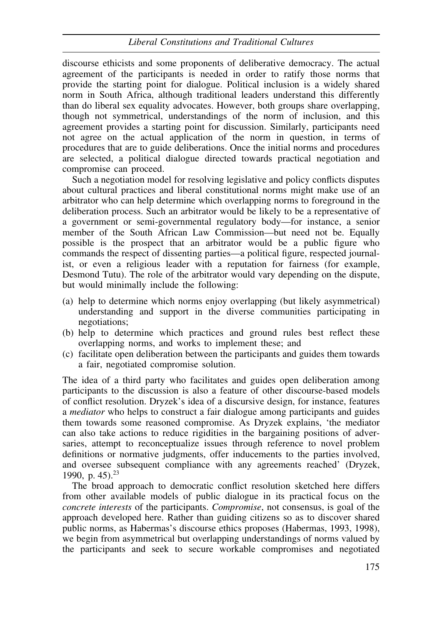discourse ethicists and some proponents of deliberative democracy. The actual agreement of the participants is needed in order to ratify those norms that provide the starting point for dialogue. Political inclusion is a widely shared norm in South Africa, although traditional leaders understand this differently than do liberal sex equality advocates. However, both groups share overlapping, though not symmetrical, understandings of the norm of inclusion, and this agreement provides a starting point for discussion. Similarly, participants need not agree on the actual application of the norm in question, in terms of procedures that are to guide deliberations. Once the initial norms and procedures are selected, a political dialogue directed towards practical negotiation and compromise can proceed.

Such a negotiation model for resolving legislative and policy conflicts disputes about cultural practices and liberal constitutional norms might make use of an arbitrator who can help determine which overlapping norms to foreground in the deliberation process. Such an arbitrator would be likely to be a representative of a government or semi-governmental regulatory body—for instance, a senior member of the South African Law Commission—but need not be. Equally possible is the prospect that an arbitrator would be a public figure who commands the respect of dissenting parties—a political figure, respected journalist, or even a religious leader with a reputation for fairness (for example, Desmond Tutu). The role of the arbitrator would vary depending on the dispute, but would minimally include the following:

- (a) help to determine which norms enjoy overlapping (but likely asymmetrical) understanding and support in the diverse communities participating in negotiations;
- (b) help to determine which practices and ground rules best reflect these overlapping norms, and works to implement these; and
- (c) facilitate open deliberation between the participants and guides them towards a fair, negotiated compromise solution.

The idea of a third party who facilitates and guides open deliberation among participants to the discussion is also a feature of other discourse-based models of conflict resolution. Dryzek's idea of a discursive design, for instance, features a *mediator* who helps to construct a fair dialogue among participants and guides them towards some reasoned compromise. As Dryzek explains, 'the mediator can also take actions to reduce rigidities in the bargaining positions of adversaries, attempt to reconceptualize issues through reference to novel problem definitions or normative judgments, offer inducements to the parties involved, and oversee subsequent compliance with any agreements reached' (Dryzek, 1990, p.  $45$ .  $2^3$ 

The broad approach to democratic conflict resolution sketched here differs from other available models of public dialogue in its practical focus on the *concrete interests* of the participants. *Compromise*, not consensus, is goal of the approach developed here. Rather than guiding citizens so as to discover shared public norms, as Habermas's discourse ethics proposes (Habermas, 1993, 1998), we begin from asymmetrical but overlapping understandings of norms valued by the participants and seek to secure workable compromises and negotiated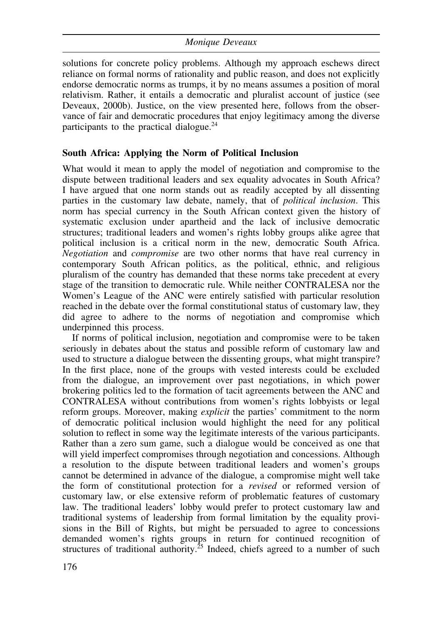solutions for concrete policy problems. Although my approach eschews direct reliance on formal norms of rationality and public reason, and does not explicitly endorse democratic norms as trumps, it by no means assumes a position of moral relativism. Rather, it entails a democratic and pluralist account of justice (see Deveaux, 2000b). Justice, on the view presented here, follows from the observance of fair and democratic procedures that enjoy legitimacy among the diverse participants to the practical dialogue. $^{24}$ 

# **South Africa: Applying the Norm of Political Inclusion**

What would it mean to apply the model of negotiation and compromise to the dispute between traditional leaders and sex equality advocates in South Africa? I have argued that one norm stands out as readily accepted by all dissenting parties in the customary law debate, namely, that of *political inclusion*. This norm has special currency in the South African context given the history of systematic exclusion under apartheid and the lack of inclusive democratic structures; traditional leaders and women's rights lobby groups alike agree that political inclusion is a critical norm in the new, democratic South Africa. *Negotiation* and *compromise* are two other norms that have real currency in contemporary South African politics, as the political, ethnic, and religious pluralism of the country has demanded that these norms take precedent at every stage of the transition to democratic rule. While neither CONTRALESA nor the Women's League of the ANC were entirely satisfied with particular resolution reached in the debate over the formal constitutional status of customary law, they did agree to adhere to the norms of negotiation and compromise which underpinned this process.

If norms of political inclusion, negotiation and compromise were to be taken seriously in debates about the status and possible reform of customary law and used to structure a dialogue between the dissenting groups, what might transpire? In the first place, none of the groups with vested interests could be excluded from the dialogue, an improvement over past negotiations, in which power brokering politics led to the formation of tacit agreements between the ANC and CONTRALESA without contributions from women's rights lobbyists or legal reform groups. Moreover, making *explicit* the parties' commitment to the norm of democratic political inclusion would highlight the need for any political solution to reflect in some way the legitimate interests of the various participants. Rather than a zero sum game, such a dialogue would be conceived as one that will yield imperfect compromises through negotiation and concessions. Although a resolution to the dispute between traditional leaders and women's groups cannot be determined in advance of the dialogue, a compromise might well take the form of constitutional protection for a *revised* or reformed version of customary law, or else extensive reform of problematic features of customary law. The traditional leaders' lobby would prefer to protect customary law and traditional systems of leadership from formal limitation by the equality provisions in the Bill of Rights, but might be persuaded to agree to concessions demanded women's rights groups in return for continued recognition of structures of traditional authority.<sup>25</sup> Indeed, chiefs agreed to a number of such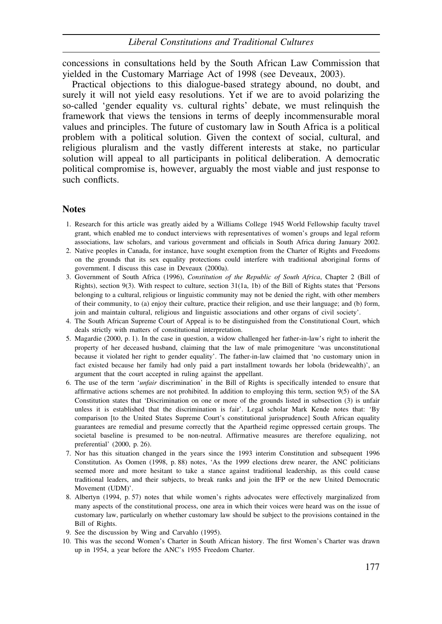concessions in consultations held by the South African Law Commission that yielded in the Customary Marriage Act of 1998 (see Deveaux, 2003).

Practical objections to this dialogue-based strategy abound, no doubt, and surely it will not yield easy resolutions. Yet if we are to avoid polarizing the so-called 'gender equality vs. cultural rights' debate, we must relinquish the framework that views the tensions in terms of deeply incommensurable moral values and principles. The future of customary law in South Africa is a political problem with a political solution. Given the context of social, cultural, and religious pluralism and the vastly different interests at stake, no particular solution will appeal to all participants in political deliberation. A democratic political compromise is, however, arguably the most viable and just response to such conflicts.

#### **Notes**

- 1. Research for this article was greatly aided by a Williams College 1945 World Fellowship faculty travel grant, which enabled me to conduct interviews with representatives of women's groups and legal reform associations, law scholars, and various government and officials in South Africa during January 2002.
- 2. Native peoples in Canada, for instance, have sought exemption from the Charter of Rights and Freedoms on the grounds that its sex equality protections could interfere with traditional aboriginal forms of government. I discuss this case in Deveaux (2000a).
- 3. Government of South Africa (1996), *Constitution of the Republic of South Africa*, Chapter 2 (Bill of Rights), section 9(3). With respect to culture, section 31(1a, 1b) of the Bill of Rights states that 'Persons belonging to a cultural, religious or linguistic community may not be denied the right, with other members of their community, to (a) enjoy their culture, practice their religion, and use their language; and (b) form, join and maintain cultural, religious and linguistic associations and other organs of civil society'.
- 4. The South African Supreme Court of Appeal is to be distinguished from the Constitutional Court, which deals strictly with matters of constitutional interpretation.
- 5. Magardie (2000, p. 1). In the case in question, a widow challenged her father-in-law's right to inherit the property of her deceased husband, claiming that the law of male primogeniture 'was unconstitutional because it violated her right to gender equality'. The father-in-law claimed that 'no customary union in fact existed because her family had only paid a part installment towards her lobola (bridewealth)', an argument that the court accepted in ruling against the appellant.
- 6. The use of the term '*unfair* discrimination' in the Bill of Rights is specifically intended to ensure that affirmative actions schemes are not prohibited. In addition to employing this term, section 9(5) of the SA Constitution states that 'Discrimination on one or more of the grounds listed in subsection (3) is unfair unless it is established that the discrimination is fair'. Legal scholar Mark Kende notes that: 'By comparison [to the United States Supreme Court's constitutional jurisprudence] South African equality guarantees are remedial and presume correctly that the Apartheid regime oppressed certain groups. The societal baseline is presumed to be non-neutral. Affirmative measures are therefore equalizing, not preferential' (2000, p. 26).
- 7. Nor has this situation changed in the years since the 1993 interim Constitution and subsequent 1996 Constitution. As Oomen (1998, p. 88) notes, 'As the 1999 elections drew nearer, the ANC politicians seemed more and more hesitant to take a stance against traditional leadership, as this could cause traditional leaders, and their subjects, to break ranks and join the IFP or the new United Democratic Movement (UDM)'.
- 8. Albertyn (1994, p. 57) notes that while women's rights advocates were effectively marginalized from many aspects of the constitutional process, one area in which their voices were heard was on the issue of customary law, particularly on whether customary law should be subject to the provisions contained in the Bill of Rights.
- 9. See the discussion by Wing and Carvahlo (1995).
- 10. This was the second Women's Charter in South African history. The first Women's Charter was drawn up in 1954, a year before the ANC's 1955 Freedom Charter.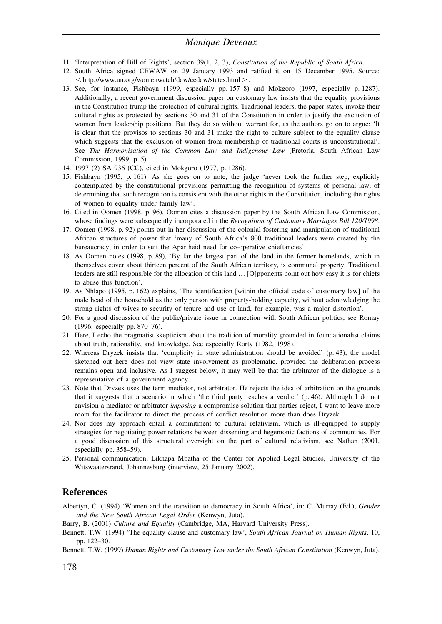- 11. 'Interpretation of Bill of Rights', section 39(1, 2, 3), *Constitution of the Republic of South Africa*.
- 12. South Africa signed CEWAW on 29 January 1993 and ratified it on 15 December 1995. Source: < http://www.un.org/womenwatch/daw/cedaw/states.html>.
- 13. See, for instance, Fishbayn (1999, especially pp. 157–8) and Mokgoro (1997, especially p. 1287). Additionally, a recent government discussion paper on customary law insists that the equality provisions in the Constitution trump the protection of cultural rights. Traditional leaders, the paper states, invoke their cultural rights as protected by sections 30 and 31 of the Constitution in order to justify the exclusion of women from leadership positions. But they do so without warrant for, as the authors go on to argue: 'It is clear that the provisos to sections 30 and 31 make the right to culture subject to the equality clause which suggests that the exclusion of women from membership of traditional courts is unconstitutional'. See *The Harmonisation of the Common Law and Indigenous Law* (Pretoria, South African Law Commission, 1999, p. 5).
- 14. 1997 (2) SA 936 (CC), cited in Mokgoro (1997, p. 1286).
- 15. Fishbayn (1995, p. 161). As she goes on to note, the judge 'never took the further step, explicitly contemplated by the constitutional provisions permitting the recognition of systems of personal law, of determining that such recognition is consistent with the other rights in the Constitution, including the rights of women to equality under family law'.
- 16. Cited in Oomen (1998, p. 96). Oomen cites a discussion paper by the South African Law Commission, whose findings were subsequently incorporated in the *Recognition of Customary Marriages Bill 120/1998*.
- 17. Oomen (1998, p. 92) points out in her discussion of the colonial fostering and manipulation of traditional African structures of power that 'many of South Africa's 800 traditional leaders were created by the bureaucracy, in order to suit the Apartheid need for co-operative chieftancies'.
- 18. As Oomen notes (1998, p. 89), 'By far the largest part of the land in the former homelands, which in themselves cover about thirteen percent of the South African territory, is communal property. Traditional leaders are still responsible for the allocation of this land … [O]pponents point out how easy it is for chiefs to abuse this function'.
- 19. As Nhlapo (1995, p. 162) explains, 'The identification [within the official code of customary law] of the male head of the household as the only person with property-holding capacity, without acknowledging the strong rights of wives to security of tenure and use of land, for example, was a major distortion'.
- 20. For a good discussion of the public/private issue in connection with South African politics, see Romay (1996, especially pp. 870–76).
- 21. Here, I echo the pragmatist skepticism about the tradition of morality grounded in foundationalist claims about truth, rationality, and knowledge. See especially Rorty (1982, 1998).
- 22. Whereas Dryzek insists that 'complicity in state administration should be avoided' (p. 43), the model sketched out here does not view state involvement as problematic, provided the deliberation process remains open and inclusive. As I suggest below, it may well be that the arbitrator of the dialogue is a representative of a government agency.
- 23. Note that Dryzek uses the term mediator, not arbitrator. He rejects the idea of arbitration on the grounds that it suggests that a scenario in which 'the third party reaches a verdict' (p. 46). Although I do not envision a mediator or arbitrator *imposing* a compromise solution that parties reject, I want to leave more room for the facilitator to direct the process of conflict resolution more than does Dryzek.
- 24. Nor does my approach entail a commitment to cultural relativism, which is ill-equipped to supply strategies for negotiating power relations between dissenting and hegemonic factions of communities. For a good discussion of this structural oversight on the part of cultural relativism, see Nathan (2001, especially pp. 358–59).
- 25. Personal communication, Likhapa Mbatha of the Center for Applied Legal Studies, University of the Witswaatersrand, Johannesburg (interview, 25 January 2002).

#### **References**

- Albertyn, C. (1994) 'Women and the transition to democracy in South Africa', in: C. Murray (Ed.), *Gender and the New South African Legal Order* (Kenwyn, Juta).
- Barry, B. (2001) *Culture and Equality* (Cambridge, MA, Harvard University Press).
- Bennett, T.W. (1994) 'The equality clause and customary law', *South African Journal on Human Rights*, 10, pp. 122–30.
- Bennett, T.W. (1999) *Human Rights and Customary Law under the South African Constitution* (Kenwyn, Juta).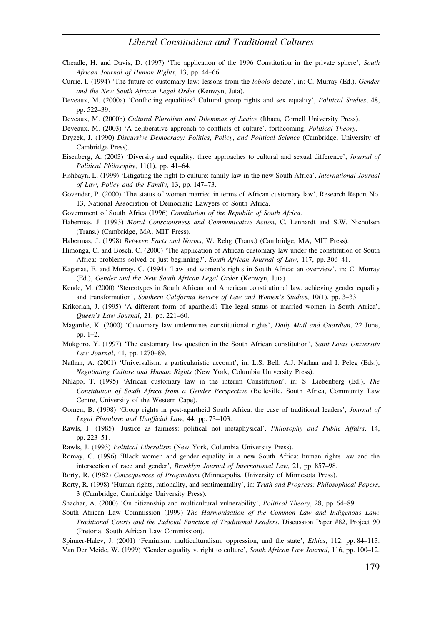- Cheadle, H. and Davis, D. (1997) 'The application of the 1996 Constitution in the private sphere', *South African Journal of Human Rights*, 13, pp. 44–66.
- Currie, I. (1994) 'The future of customary law: lessons from the *lobolo* debate', in: C. Murray (Ed.), *Gender and the New South African Legal Order* (Kenwyn, Juta).
- Deveaux, M. (2000a) 'Conflicting equalities? Cultural group rights and sex equality', *Political Studies*, 48, pp. 522–39.
- Deveaux, M. (2000b) *Cultural Pluralism and Dilemmas of Justice* (Ithaca, Cornell University Press).

Deveaux, M. (2003) 'A deliberative approach to conflicts of culture', forthcoming, *Political Theory*.

- Dryzek, J. (1990) *Discursive Democracy: Politics*, *Policy*, *and Political Science* (Cambridge, University of Cambridge Press).
- Eisenberg, A. (2003) 'Diversity and equality: three approaches to cultural and sexual difference', *Journal of Political Philosophy*, 11(1), pp. 41–64.
- Fishbayn, L. (1999) 'Litigating the right to culture: family law in the new South Africa', *International Journal of Law*, *Policy and the Family*, 13, pp. 147–73.
- Govender, P. (2000) 'The status of women married in terms of African customary law', Research Report No. 13, National Association of Democratic Lawyers of South Africa.
- Government of South Africa (1996) *Constitution of the Republic of South Africa*.
- Habermas, J. (1993) *Moral Consciousness and Communicative Action*, C. Lenhardt and S.W. Nicholsen (Trans.) (Cambridge, MA, MIT Press).
- Habermas, J. (1998) *Between Facts and Norms*, W. Rehg (Trans.) (Cambridge, MA, MIT Press).
- Himonga, C. and Bosch, C. (2000) 'The application of African customary law under the constitution of South Africa: problems solved or just beginning?', *South African Journal of Law*, 117, pp. 306–41.
- Kaganas, F. and Murray, C. (1994) 'Law and women's rights in South Africa: an overview', in: C. Murray (Ed.), *Gender and the New South African Legal Order* (Kenwyn, Juta).
- Kende, M. (2000) 'Stereotypes in South African and American constitutional law: achieving gender equality and transformation', *Southern California Review of Law and Women's Studies*, 10(1), pp. 3–33.
- Krikorian, J. (1995) 'A different form of apartheid? The legal status of married women in South Africa', *Queen's Law Journal*, 21, pp. 221–60.
- Magardie, K. (2000) 'Customary law undermines constitutional rights', *Daily Mail and Guardian*, 22 June, pp. 1–2.
- Mokgoro, Y. (1997) 'The customary law question in the South African constitution', *Saint Louis University Law Journal*, 41, pp. 1270–89.
- Nathan, A. (2001) 'Universalism: a particularistic account', in: L.S. Bell, A.J. Nathan and I. Peleg (Eds.), *Negotiating Culture and Human Rights* (New York, Columbia University Press).
- Nhlapo, T. (1995) 'African customary law in the interim Constitution', in: S. Liebenberg (Ed.), *The Constitution of South Africa from a Gender Perspective* (Belleville, South Africa, Community Law Centre, University of the Western Cape).
- Oomen, B. (1998) 'Group rights in post-apartheid South Africa: the case of traditional leaders', *Journal of Legal Pluralism and Unofficial Law*, 44, pp. 73–103.
- Rawls, J. (1985) 'Justice as fairness: political not metaphysical', *Philosophy and Public Affairs*, 14, pp. 223–51.
- Rawls, J. (1993) *Political Liberalism* (New York, Columbia University Press).
- Romay, C. (1996) 'Black women and gender equality in a new South Africa: human rights law and the intersection of race and gender', *Brooklyn Journal of International Law*, 21, pp. 857–98.
- Rorty, R. (1982) *Consequences of Pragmatism* (Minneapolis, University of Minnesota Press).
- Rorty, R. (1998) 'Human rights, rationality, and sentimentality', in: *Truth and Progress: Philosophical Papers*, 3 (Cambridge, Cambridge University Press).

Shachar, A. (2000) 'On citizenship and multicultural vulnerability', *Political Theory*, 28, pp. 64–89.

South African Law Commission (1999) *The Harmonisation of the Common Law and Indigenous Law: Traditional Courts and the Judicial Function of Traditional Leaders*, Discussion Paper #82, Project 90 (Pretoria, South African Law Commission).

Spinner-Halev, J. (2001) 'Feminism, multiculturalism, oppression, and the state', *Ethics*, 112, pp. 84–113. Van Der Meide, W. (1999) 'Gender equality v. right to culture', *South African Law Journal*, 116, pp. 100–12.